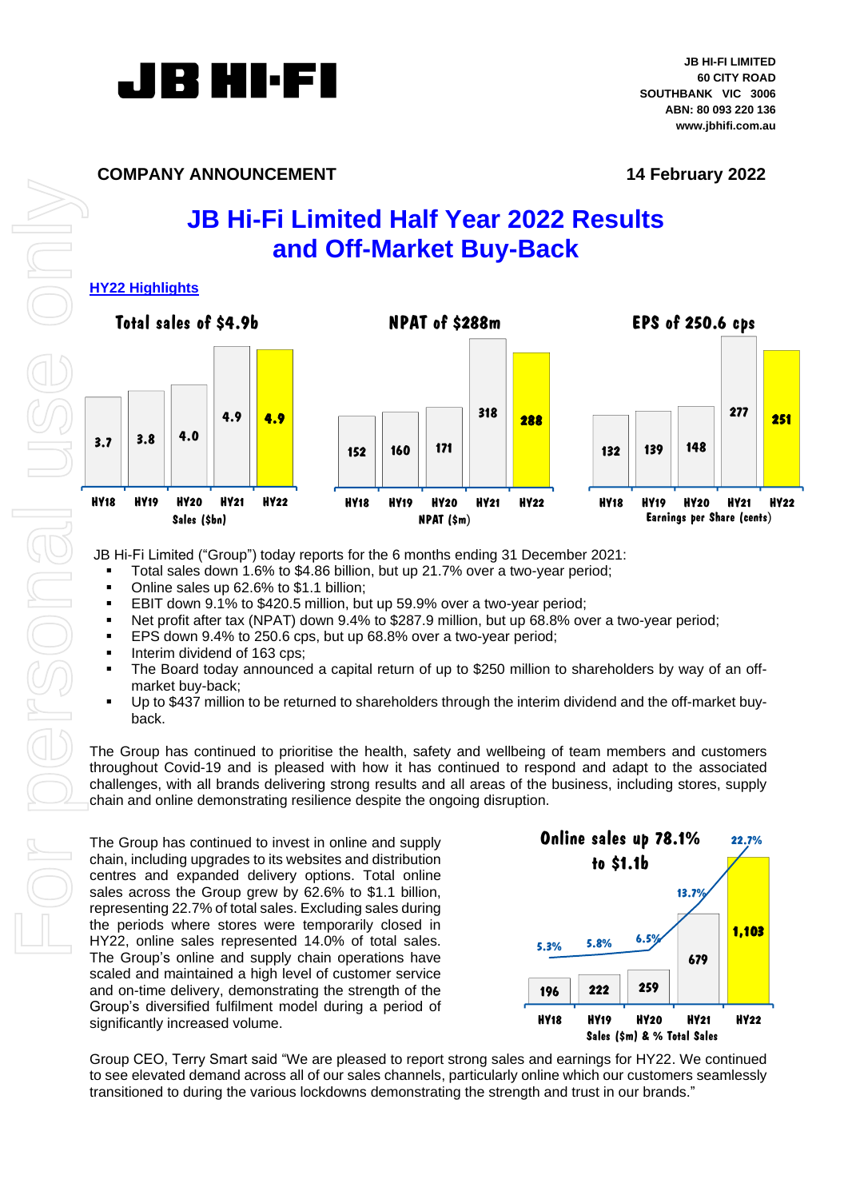

# **COMPANY ANNOUNCEMENT 14 February 2022**

# **JB Hi-Fi Limited Half Year 2022 Results and Off-Market Buy-Back**

# **HY22 Highlights**



JB Hi-Fi Limited ("Group") today reports for the 6 months ending 31 December 2021:

- Total sales down 1.6% to \$4.86 billion, but up 21.7% over a two-year period;
- Online sales up 62.6% to \$1.1 billion:
- EBIT down 9.1% to \$420.5 million, but up 59.9% over a two-year period;
- Net profit after tax (NPAT) down 9.4% to \$287.9 million, but up 68.8% over a two-year period;
- EPS down 9.4% to 250.6 cps, but up 68.8% over a two-year period;
- Interim dividend of 163 cps;
- The Board today announced a capital return of up to \$250 million to shareholders by way of an offmarket buy-back;
- Up to \$437 million to be returned to shareholders through the interim dividend and the off-market buyback.

The Group has continued to prioritise the health, safety and wellbeing of team members and customers throughout Covid-19 and is pleased with how it has continued to respond and adapt to the associated challenges, with all brands delivering strong results and all areas of the business, including stores, supply chain and online demonstrating resilience despite the ongoing disruption.

The Group has continued to invest in online and supply chain, including upgrades to its websites and distribution centres and expanded delivery options. Total online sales across the Group grew by 62.6% to \$1.1 billion, representing 22.7% of total sales. Excluding sales during the periods where stores were temporarily closed in HY22, online sales represented 14.0% of total sales. The Group's online and supply chain operations have scaled and maintained a high level of customer service and on-time delivery, demonstrating the strength of the Group's diversified fulfilment model during a period of significantly increased volume.



Group CEO, Terry Smart said "We are pleased to report strong sales and earnings for HY22. We continued to see elevated demand across all of our sales channels, particularly online which our customers seamlessly transitioned to during the various lockdowns demonstrating the strength and trust in our brands."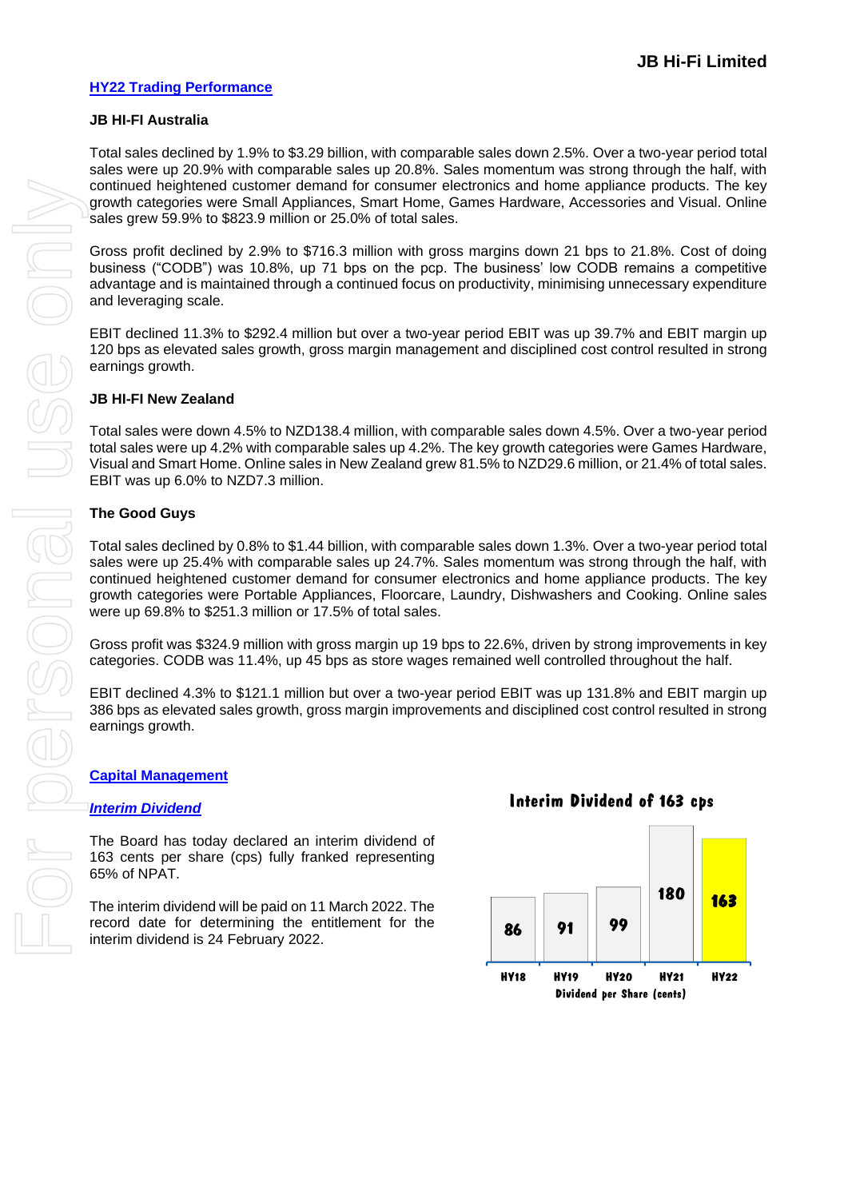### **HY22 Trading Performance**

#### **JB HI-FI Australia**

Total sales declined by 1.9% to \$3.29 billion, with comparable sales down 2.5%. Over a two-year period total sales were up 20.9% with comparable sales up 20.8%. Sales momentum was strong through the half, with continued heightened customer demand for consumer electronics and home appliance products. The key growth categories were Small Appliances, Smart Home, Games Hardware, Accessories and Visual. Online sales grew 59.9% to \$823.9 million or 25.0% of total sales.

Gross profit declined by 2.9% to \$716.3 million with gross margins down 21 bps to 21.8%. Cost of doing business ("CODB") was 10.8%, up 71 bps on the pcp. The business' low CODB remains a competitive advantage and is maintained through a continued focus on productivity, minimising unnecessary expenditure and leveraging scale.

EBIT declined 11.3% to \$292.4 million but over a two-year period EBIT was up 39.7% and EBIT margin up 120 bps as elevated sales growth, gross margin management and disciplined cost control resulted in strong earnings growth.

#### **JB HI-FI New Zealand**

Total sales were down 4.5% to NZD138.4 million, with comparable sales down 4.5%. Over a two-year period total sales were up 4.2% with comparable sales up 4.2%. The key growth categories were Games Hardware, Visual and Smart Home. Online sales in New Zealand grew 81.5% to NZD29.6 million, or 21.4% of total sales. EBIT was up 6.0% to NZD7.3 million.

#### **The Good Guys**

Total sales declined by 0.8% to \$1.44 billion, with comparable sales down 1.3%. Over a two-year period total sales were up 25.4% with comparable sales up 24.7%. Sales momentum was strong through the half, with continued heightened customer demand for consumer electronics and home appliance products. The key growth categories were Portable Appliances, Floorcare, Laundry, Dishwashers and Cooking. Online sales were up 69.8% to \$251.3 million or 17.5% of total sales.

Gross profit was \$324.9 million with gross margin up 19 bps to 22.6%, driven by strong improvements in key categories. CODB was 11.4%, up 45 bps as store wages remained well controlled throughout the half.

EBIT declined 4.3% to \$121.1 million but over a two-year period EBIT was up 131.8% and EBIT margin up 386 bps as elevated sales growth, gross margin improvements and disciplined cost control resulted in strong earnings growth.

#### **Capital Management**

#### *Interim Dividend*

The Board has today declared an interim dividend of 163 cents per share (cps) fully franked representing 65% of NPAT.

The interim dividend will be paid on 11 March 2022. The record date for determining the entitlement for the interim dividend is 24 February 2022.

# **Interim Dividend of 163 cps**

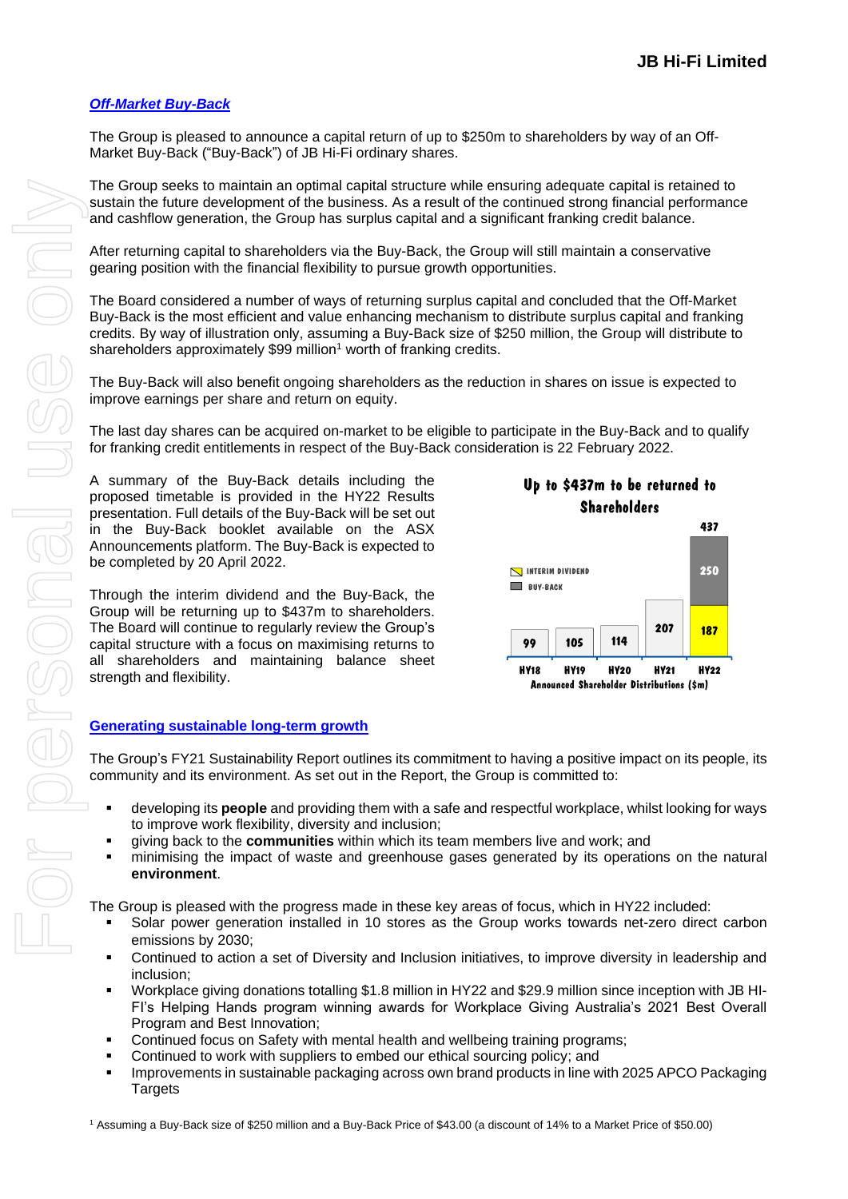# *Off-Market Buy-Back*

The Group is pleased to announce a capital return of up to \$250m to shareholders by way of an Off-Market Buy-Back ("Buy-Back") of JB Hi-Fi ordinary shares.

The Group seeks to maintain an optimal capital structure while ensuring adequate capital is retained to sustain the future development of the business. As a result of the continued strong financial performance and cashflow generation, the Group has surplus capital and a significant franking credit balance.

After returning capital to shareholders via the Buy-Back, the Group will still maintain a conservative gearing position with the financial flexibility to pursue growth opportunities.

The Board considered a number of ways of returning surplus capital and concluded that the Off-Market Buy-Back is the most efficient and value enhancing mechanism to distribute surplus capital and franking credits. By way of illustration only, assuming a Buy-Back size of \$250 million, the Group will distribute to shareholders approximately \$99 million<sup>1</sup> worth of franking credits.

The Buy-Back will also benefit ongoing shareholders as the reduction in shares on issue is expected to improve earnings per share and return on equity.

The last day shares can be acquired on-market to be eligible to participate in the Buy-Back and to qualify for franking credit entitlements in respect of the Buy-Back consideration is 22 February 2022.

A summary of the Buy-Back details including the proposed timetable is provided in the HY22 Results presentation. Full details of the Buy-Back will be set out in the Buy-Back booklet available on the ASX Announcements platform. The Buy-Back is expected to be completed by 20 April 2022.

Through the interim dividend and the Buy-Back, the Group will be returning up to \$437m to shareholders. The Board will continue to regularly review the Group's capital structure with a focus on maximising returns to all shareholders and maintaining balance sheet strength and flexibility.



#### **Generating sustainable long-term growth**

The Group's FY21 Sustainability Report outlines its commitment to having a positive impact on its people, its community and its environment. As set out in the Report, the Group is committed to:

- developing its **people** and providing them with a safe and respectful workplace, whilst looking for ways to improve work flexibility, diversity and inclusion;
- giving back to the **communities** within which its team members live and work; and
- **•** minimising the impact of waste and greenhouse gases generated by its operations on the natural **environment**.

The Group is pleased with the progress made in these key areas of focus, which in HY22 included:

- Solar power generation installed in 10 stores as the Group works towards net-zero direct carbon emissions by 2030;
- Continued to action a set of Diversity and Inclusion initiatives, to improve diversity in leadership and inclusion;
- Workplace giving donations totalling \$1.8 million in HY22 and \$29.9 million since inception with JB HI-FI's Helping Hands program winning awards for Workplace Giving Australia's 2021 Best Overall Program and Best Innovation;
- Continued focus on Safety with mental health and wellbeing training programs;
- Continued to work with suppliers to embed our ethical sourcing policy; and
- **Improvements in sustainable packaging across own brand products in line with 2025 APCO Packaging Targets**

<sup>1</sup> Assuming a Buy-Back size of \$250 million and a Buy-Back Price of \$43.00 (a discount of 14% to a Market Price of \$50.00)